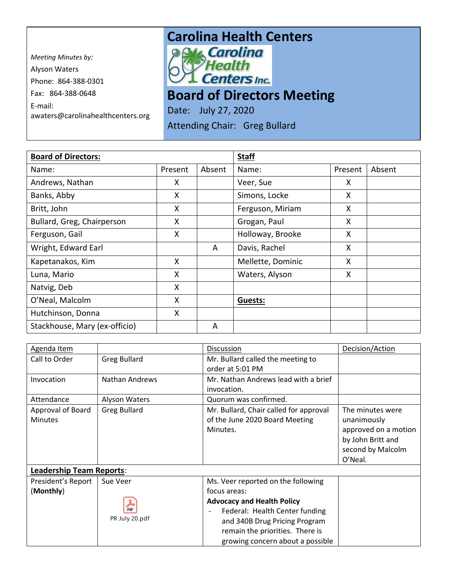*Meeting Minutes by:*  Alyson Waters Phone: 864-388-0301 Fax: 864-388-0648 E-mail: awaters@carolinahealthcenters.org

## **Carolina Health Centers**<br> **Pows Carolina**



**Board of Directors Meeting** 

Date: July 27, 2020 Attending Chair: Greg Bullard

| <b>Board of Directors:</b>    |         | <b>Staff</b> |                   |         |        |
|-------------------------------|---------|--------------|-------------------|---------|--------|
| Name:                         | Present | Absent       | Name:             | Present | Absent |
| Andrews, Nathan               | X       |              | Veer, Sue         | X.      |        |
| Banks, Abby                   | Χ       |              | Simons, Locke     | X       |        |
| Britt, John                   | X       |              | Ferguson, Miriam  | X       |        |
| Bullard, Greg, Chairperson    | X       |              | Grogan, Paul      | X       |        |
| Ferguson, Gail                | X       |              | Holloway, Brooke  | X       |        |
| Wright, Edward Earl           |         | A            | Davis, Rachel     | X       |        |
| Kapetanakos, Kim              | X       |              | Mellette, Dominic | X       |        |
| Luna, Mario                   | X       |              | Waters, Alyson    | X       |        |
| Natvig, Deb                   | X       |              |                   |         |        |
| O'Neal, Malcolm               | X       |              | <b>Guests:</b>    |         |        |
| Hutchinson, Donna             | X       |              |                   |         |        |
| Stackhouse, Mary (ex-officio) |         | A            |                   |         |        |

| Agenda Item                     |                     | Discussion                             | Decision/Action      |
|---------------------------------|---------------------|----------------------------------------|----------------------|
| Call to Order                   | <b>Greg Bullard</b> | Mr. Bullard called the meeting to      |                      |
|                                 |                     | order at 5:01 PM                       |                      |
| Invocation                      | Nathan Andrews      | Mr. Nathan Andrews lead with a brief   |                      |
|                                 |                     | invocation.                            |                      |
| Attendance                      | Alyson Waters       | Quorum was confirmed.                  |                      |
| Approval of Board               | <b>Greg Bullard</b> | Mr. Bullard, Chair called for approval | The minutes were     |
| <b>Minutes</b>                  |                     | of the June 2020 Board Meeting         | unanimously          |
|                                 |                     | Minutes.                               | approved on a motion |
|                                 |                     |                                        | by John Britt and    |
|                                 |                     |                                        | second by Malcolm    |
|                                 |                     |                                        | O'Neal.              |
| <b>Leadership Team Reports:</b> |                     |                                        |                      |
| President's Report              | Sue Veer            | Ms. Veer reported on the following     |                      |
| (Monthly)                       |                     | focus areas:                           |                      |
|                                 | کھ                  | <b>Advocacy and Health Policy</b>      |                      |
|                                 | <b>DDF</b>          | Federal: Health Center funding         |                      |
|                                 | PR July 20.pdf      | and 340B Drug Pricing Program          |                      |
|                                 |                     | remain the priorities. There is        |                      |
|                                 |                     | growing concern about a possible       |                      |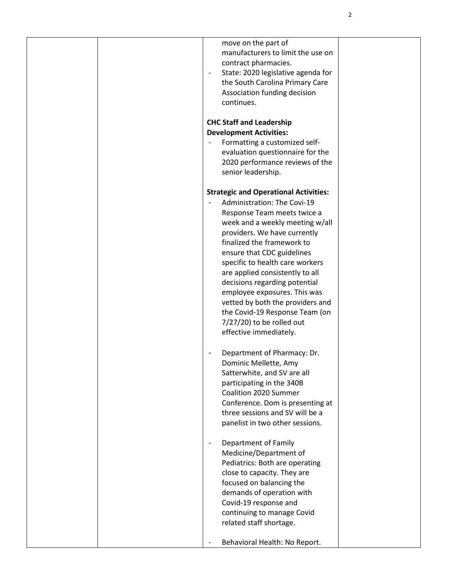|  | move on the part of<br>manufacturers to limit the use on<br>contract pharmacies.<br>State: 2020 legislative agenda for<br>the South Carolina Primary Care<br>Association funding decision<br>continues. |  |
|--|---------------------------------------------------------------------------------------------------------------------------------------------------------------------------------------------------------|--|
|  | <b>CHC Staff and Leadership</b>                                                                                                                                                                         |  |
|  |                                                                                                                                                                                                         |  |
|  | <b>Development Activities:</b>                                                                                                                                                                          |  |
|  | Formatting a customized self-                                                                                                                                                                           |  |
|  | evaluation questionnaire for the                                                                                                                                                                        |  |
|  | 2020 performance reviews of the                                                                                                                                                                         |  |
|  | senior leadership.                                                                                                                                                                                      |  |
|  | <b>Strategic and Operational Activities:</b>                                                                                                                                                            |  |
|  | Administration: The Covi-19                                                                                                                                                                             |  |
|  | Response Team meets twice a                                                                                                                                                                             |  |
|  | week and a weekly meeting w/all                                                                                                                                                                         |  |
|  | providers. We have currently                                                                                                                                                                            |  |
|  | finalized the framework to                                                                                                                                                                              |  |
|  | ensure that CDC guidelines                                                                                                                                                                              |  |
|  | specific to health care workers                                                                                                                                                                         |  |
|  | are applied consistently to all                                                                                                                                                                         |  |
|  | decisions regarding potential                                                                                                                                                                           |  |
|  | employee exposures. This was                                                                                                                                                                            |  |
|  | vetted by both the providers and                                                                                                                                                                        |  |
|  | the Covid-19 Response Team (on                                                                                                                                                                          |  |
|  | $7/27/20$ ) to be rolled out                                                                                                                                                                            |  |
|  | effective immediately.                                                                                                                                                                                  |  |
|  | Department of Pharmacy: Dr.                                                                                                                                                                             |  |
|  | Dominic Mellette, Amy                                                                                                                                                                                   |  |
|  | Satterwhite, and SV are all                                                                                                                                                                             |  |
|  | participating in the 340B                                                                                                                                                                               |  |
|  | Coalition 2020 Summer                                                                                                                                                                                   |  |
|  | Conference. Dom is presenting at                                                                                                                                                                        |  |
|  | three sessions and SV will be a                                                                                                                                                                         |  |
|  | panelist in two other sessions.                                                                                                                                                                         |  |
|  | Department of Family                                                                                                                                                                                    |  |
|  | Medicine/Department of                                                                                                                                                                                  |  |
|  | Pediatrics: Both are operating                                                                                                                                                                          |  |
|  | close to capacity. They are                                                                                                                                                                             |  |
|  | focused on balancing the                                                                                                                                                                                |  |
|  | demands of operation with                                                                                                                                                                               |  |
|  | Covid-19 response and                                                                                                                                                                                   |  |
|  | continuing to manage Covid                                                                                                                                                                              |  |
|  | related staff shortage.                                                                                                                                                                                 |  |
|  |                                                                                                                                                                                                         |  |
|  | Behavioral Health: No Report.                                                                                                                                                                           |  |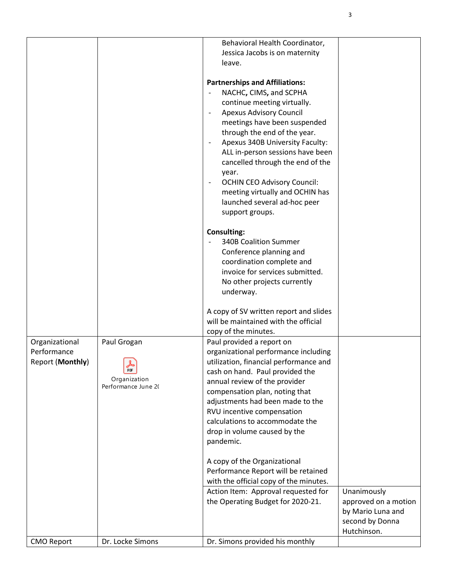| <b>CMO Report</b>             | Dr. Locke Simons    | Dr. Simons provided his monthly                                                                                      | Hutchinson.                                                  |
|-------------------------------|---------------------|----------------------------------------------------------------------------------------------------------------------|--------------------------------------------------------------|
|                               |                     | the Operating Budget for 2020-21.                                                                                    | approved on a motion<br>by Mario Luna and<br>second by Donna |
|                               |                     | Performance Report will be retained<br>with the official copy of the minutes.<br>Action Item: Approval requested for | Unanimously                                                  |
|                               |                     | A copy of the Organizational                                                                                         |                                                              |
|                               |                     | calculations to accommodate the<br>drop in volume caused by the<br>pandemic.                                         |                                                              |
|                               |                     | adjustments had been made to the<br>RVU incentive compensation                                                       |                                                              |
|                               | Performance June 20 | annual review of the provider<br>compensation plan, noting that                                                      |                                                              |
| <b>Report (Monthly)</b>       | PDF<br>Organization | utilization, financial performance and<br>cash on hand. Paul provided the                                            |                                                              |
| Organizational<br>Performance | Paul Grogan         | Paul provided a report on<br>organizational performance including                                                    |                                                              |
|                               |                     | will be maintained with the official<br>copy of the minutes.                                                         |                                                              |
|                               |                     | A copy of SV written report and slides                                                                               |                                                              |
|                               |                     | No other projects currently<br>underway.                                                                             |                                                              |
|                               |                     | coordination complete and<br>invoice for services submitted.                                                         |                                                              |
|                               |                     | <b>340B Coalition Summer</b><br>Conference planning and                                                              |                                                              |
|                               |                     | <b>Consulting:</b>                                                                                                   |                                                              |
|                               |                     | launched several ad-hoc peer<br>support groups.                                                                      |                                                              |
|                               |                     | <b>OCHIN CEO Advisory Council:</b><br>$\overline{\phantom{a}}$<br>meeting virtually and OCHIN has                    |                                                              |
|                               |                     | cancelled through the end of the<br>year.                                                                            |                                                              |
|                               |                     | Apexus 340B University Faculty:<br>ALL in-person sessions have been                                                  |                                                              |
|                               |                     | through the end of the year.                                                                                         |                                                              |
|                               |                     | <b>Apexus Advisory Council</b><br>meetings have been suspended                                                       |                                                              |
|                               |                     | NACHC, CIMS, and SCPHA<br>continue meeting virtually.                                                                |                                                              |
|                               |                     | <b>Partnerships and Affiliations:</b>                                                                                |                                                              |
|                               |                     | Jessica Jacobs is on maternity<br>leave.                                                                             |                                                              |
|                               |                     | Behavioral Health Coordinator,                                                                                       |                                                              |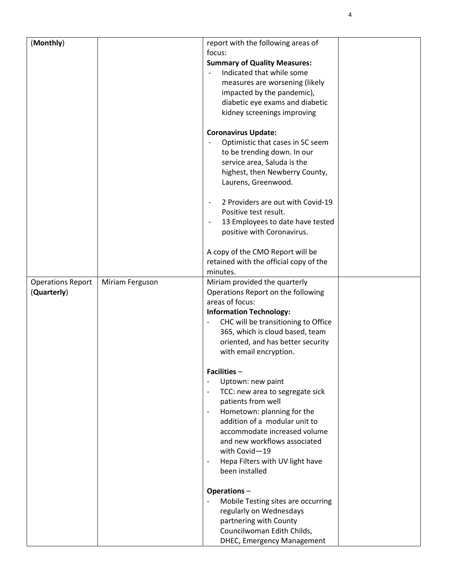| (Monthly)                |                 | report with the following areas of                           |  |
|--------------------------|-----------------|--------------------------------------------------------------|--|
|                          |                 | focus:                                                       |  |
|                          |                 | <b>Summary of Quality Measures:</b>                          |  |
|                          |                 | Indicated that while some<br>$\overline{\phantom{a}}$        |  |
|                          |                 | measures are worsening (likely                               |  |
|                          |                 | impacted by the pandemic),                                   |  |
|                          |                 | diabetic eye exams and diabetic                              |  |
|                          |                 | kidney screenings improving                                  |  |
|                          |                 |                                                              |  |
|                          |                 | <b>Coronavirus Update:</b>                                   |  |
|                          |                 | Optimistic that cases in SC seem                             |  |
|                          |                 | to be trending down. In our                                  |  |
|                          |                 | service area, Saluda is the                                  |  |
|                          |                 | highest, then Newberry County,                               |  |
|                          |                 | Laurens, Greenwood.                                          |  |
|                          |                 | 2 Providers are out with Covid-19                            |  |
|                          |                 | Positive test result.                                        |  |
|                          |                 |                                                              |  |
|                          |                 | 13 Employees to date have tested<br>$\overline{\phantom{a}}$ |  |
|                          |                 | positive with Coronavirus.                                   |  |
|                          |                 | A copy of the CMO Report will be                             |  |
|                          |                 | retained with the official copy of the                       |  |
|                          |                 | minutes.                                                     |  |
| <b>Operations Report</b> | Miriam Ferguson | Miriam provided the quarterly                                |  |
| (Quarterly)              |                 | Operations Report on the following                           |  |
|                          |                 | areas of focus:                                              |  |
|                          |                 | <b>Information Technology:</b>                               |  |
|                          |                 | CHC will be transitioning to Office                          |  |
|                          |                 | 365, which is cloud based, team                              |  |
|                          |                 | oriented, and has better security                            |  |
|                          |                 | with email encryption.                                       |  |
|                          |                 |                                                              |  |
|                          |                 | <b>Facilities -</b>                                          |  |
|                          |                 | Uptown: new paint                                            |  |
|                          |                 | TCC: new area to segregate sick<br>$\overline{\phantom{a}}$  |  |
|                          |                 | patients from well                                           |  |
|                          |                 | Hometown: planning for the<br>$\blacksquare$                 |  |
|                          |                 | addition of a modular unit to                                |  |
|                          |                 | accommodate increased volume                                 |  |
|                          |                 | and new workflows associated                                 |  |
|                          |                 | with Covid-19                                                |  |
|                          |                 | Hepa Filters with UV light have<br>$\overline{\phantom{a}}$  |  |
|                          |                 | been installed                                               |  |
|                          |                 |                                                              |  |
|                          |                 | Operations-                                                  |  |
|                          |                 | Mobile Testing sites are occurring                           |  |
|                          |                 | regularly on Wednesdays                                      |  |
|                          |                 | partnering with County                                       |  |
|                          |                 | Councilwoman Edith Childs,                                   |  |
|                          |                 | <b>DHEC, Emergency Management</b>                            |  |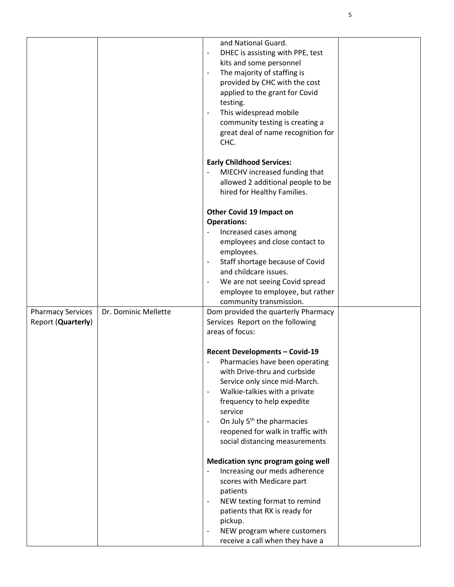|                                                |                      | and National Guard.<br>DHEC is assisting with PPE, test<br>$\overline{\phantom{a}}$<br>kits and some personnel<br>The majority of staffing is<br>provided by CHC with the cost<br>applied to the grant for Covid<br>testing.<br>This widespread mobile<br>$\overline{\phantom{a}}$<br>community testing is creating a<br>great deal of name recognition for<br>CHC.                                                     |  |
|------------------------------------------------|----------------------|-------------------------------------------------------------------------------------------------------------------------------------------------------------------------------------------------------------------------------------------------------------------------------------------------------------------------------------------------------------------------------------------------------------------------|--|
|                                                |                      | <b>Early Childhood Services:</b><br>MIECHV increased funding that<br>allowed 2 additional people to be<br>hired for Healthy Families.                                                                                                                                                                                                                                                                                   |  |
|                                                |                      | Other Covid 19 Impact on<br><b>Operations:</b><br>Increased cases among<br>employees and close contact to<br>employees.<br>Staff shortage because of Covid<br>$\overline{\phantom{a}}$<br>and childcare issues.<br>We are not seeing Covid spread<br>employee to employee, but rather<br>community transmission.                                                                                                        |  |
| <b>Pharmacy Services</b><br>Report (Quarterly) | Dr. Dominic Mellette | Dom provided the quarterly Pharmacy<br>Services Report on the following<br>areas of focus:                                                                                                                                                                                                                                                                                                                              |  |
|                                                |                      | <b>Recent Developments - Covid-19</b><br>Pharmacies have been operating<br>$\overline{\phantom{a}}$<br>with Drive-thru and curbside<br>Service only since mid-March.<br>Walkie-talkies with a private<br>$\overline{\phantom{a}}$<br>frequency to help expedite<br>service<br>On July 5 <sup>th</sup> the pharmacies<br>$\overline{\phantom{a}}$<br>reopened for walk in traffic with<br>social distancing measurements |  |
|                                                |                      | Medication sync program going well<br>Increasing our meds adherence<br>scores with Medicare part<br>patients<br>NEW texting format to remind<br>$\overline{\phantom{a}}$<br>patients that RX is ready for<br>pickup.<br>NEW program where customers<br>receive a call when they have a                                                                                                                                  |  |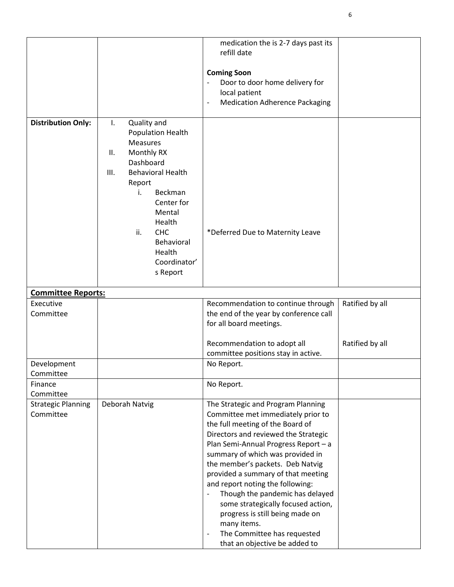|                                        |                                  | medication the is 2-7 days past its<br>refill date                                                |                 |
|----------------------------------------|----------------------------------|---------------------------------------------------------------------------------------------------|-----------------|
|                                        |                                  | <b>Coming Soon</b>                                                                                |                 |
|                                        |                                  | Door to door home delivery for                                                                    |                 |
|                                        |                                  | local patient                                                                                     |                 |
|                                        |                                  | <b>Medication Adherence Packaging</b><br>$\overline{\phantom{a}}$                                 |                 |
| <b>Distribution Only:</b>              | Quality and<br>Ι.                |                                                                                                   |                 |
|                                        | Population Health                |                                                                                                   |                 |
|                                        | <b>Measures</b>                  |                                                                                                   |                 |
|                                        | Monthly RX<br>ΙΙ.                |                                                                                                   |                 |
|                                        | Dashboard                        |                                                                                                   |                 |
|                                        | <b>Behavioral Health</b><br>III. |                                                                                                   |                 |
|                                        | Report<br>Beckman<br>i.          |                                                                                                   |                 |
|                                        | Center for                       |                                                                                                   |                 |
|                                        | Mental                           |                                                                                                   |                 |
|                                        | Health                           |                                                                                                   |                 |
|                                        | ii.<br><b>CHC</b>                | *Deferred Due to Maternity Leave                                                                  |                 |
|                                        | Behavioral                       |                                                                                                   |                 |
|                                        | Health<br>Coordinator'           |                                                                                                   |                 |
|                                        | s Report                         |                                                                                                   |                 |
|                                        |                                  |                                                                                                   |                 |
| <b>Committee Reports:</b>              |                                  |                                                                                                   |                 |
| Executive                              |                                  | Recommendation to continue through                                                                | Ratified by all |
| Committee                              |                                  | the end of the year by conference call                                                            |                 |
|                                        |                                  | for all board meetings.                                                                           |                 |
|                                        |                                  | Recommendation to adopt all                                                                       | Ratified by all |
|                                        |                                  | committee positions stay in active.                                                               |                 |
| Development                            |                                  | No Report.                                                                                        |                 |
| Committee                              |                                  |                                                                                                   |                 |
| Finance                                |                                  | No Report.                                                                                        |                 |
| Committee                              |                                  |                                                                                                   |                 |
| <b>Strategic Planning</b><br>Committee | Deborah Natvig                   | The Strategic and Program Planning                                                                |                 |
|                                        |                                  | Committee met immediately prior to<br>the full meeting of the Board of                            |                 |
|                                        |                                  | Directors and reviewed the Strategic                                                              |                 |
|                                        |                                  | Plan Semi-Annual Progress Report - a                                                              |                 |
|                                        |                                  | summary of which was provided in                                                                  |                 |
|                                        |                                  | the member's packets. Deb Natvig                                                                  |                 |
|                                        |                                  | provided a summary of that meeting                                                                |                 |
|                                        |                                  | and report noting the following:                                                                  |                 |
|                                        |                                  | Though the pandemic has delayed<br>$\overline{\phantom{a}}$<br>some strategically focused action, |                 |
|                                        |                                  | progress is still being made on                                                                   |                 |
|                                        |                                  | many items.                                                                                       |                 |
|                                        |                                  | The Committee has requested<br>$\overline{\phantom{m}}$                                           |                 |
|                                        |                                  | that an objective be added to                                                                     |                 |